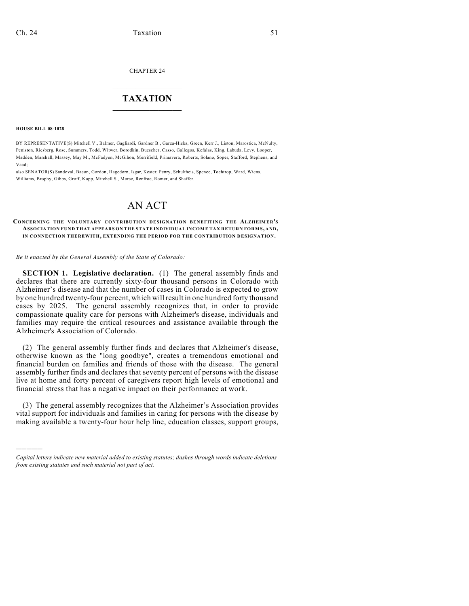CHAPTER 24

## $\overline{\phantom{a}}$  . The set of the set of the set of the set of the set of the set of the set of the set of the set of the set of the set of the set of the set of the set of the set of the set of the set of the set of the set o **TAXATION**  $\_$

**HOUSE BILL 08-1028**

)))))

BY REPRESENTATIVE(S) Mitchell V., Balmer, Gagliardi, Gardner B., Garza-Hicks, Green, Kerr J., Liston, Marostica, McNulty, Peniston, Riesberg, Rose, Summers, Todd, Witwer, Borodkin, Buescher, Casso, Gallegos, Kefalas, King, Labuda, Levy, Looper, Madden, Marshall, Massey, May M., McFadyen, McGihon, Merrifield, Primavera, Roberts, Solano, Soper, Stafford, Stephens, and Vaad;

also SENATOR(S) Sandoval, Bacon, Gordon, Hagedorn, Isgar, Kester, Penry, Schultheis, Spence, Tochtrop, Ward, Wiens, Williams, Brophy, Gibbs, Groff, Kopp, Mitchell S., Morse, Renfroe, Romer, and Shaffer.

## AN ACT

## **CONCERNING THE VOLUNTARY CONTRIBUTION DESIGNATION BENEFITING THE ALZHEIMER'S ASSOCIATION FUND THAT APPEARS ON THE STATE INDIVIDUAL INCOM E TAX RETURN FORM S, AND, IN CONNECTION THEREWITH, EXTENDING THE PERIOD FOR THE CONTRIBUTION DESIGNATION.**

*Be it enacted by the General Assembly of the State of Colorado:*

**SECTION 1. Legislative declaration.** (1) The general assembly finds and declares that there are currently sixty-four thousand persons in Colorado with Alzheimer's disease and that the number of cases in Colorado is expected to grow by one hundred twenty-four percent, which will result in one hundred forty thousand cases by 2025. The general assembly recognizes that, in order to provide compassionate quality care for persons with Alzheimer's disease, individuals and families may require the critical resources and assistance available through the Alzheimer's Association of Colorado.

(2) The general assembly further finds and declares that Alzheimer's disease, otherwise known as the "long goodbye", creates a tremendous emotional and financial burden on families and friends of those with the disease. The general assembly further finds and declares that seventy percent of persons with the disease live at home and forty percent of caregivers report high levels of emotional and financial stress that has a negative impact on their performance at work.

(3) The general assembly recognizes that the Alzheimer's Association provides vital support for individuals and families in caring for persons with the disease by making available a twenty-four hour help line, education classes, support groups,

*Capital letters indicate new material added to existing statutes; dashes through words indicate deletions from existing statutes and such material not part of act.*